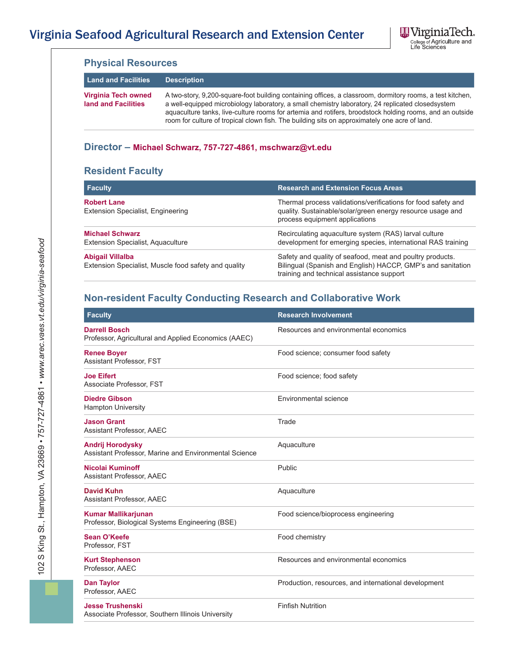

| <b>Land and Facilities</b>                                                      | <b>Description</b>                                                                                                                                                                                                                                                                                                                                                                                                          |                                                                                                                                                                       |  |
|---------------------------------------------------------------------------------|-----------------------------------------------------------------------------------------------------------------------------------------------------------------------------------------------------------------------------------------------------------------------------------------------------------------------------------------------------------------------------------------------------------------------------|-----------------------------------------------------------------------------------------------------------------------------------------------------------------------|--|
| <b>Virginia Tech owned</b><br>land and Facilities                               | A two-story, 9,200-square-foot building containing offices, a classroom, dormitory rooms, a test kitchen,<br>a well-equipped microbiology laboratory, a small chemistry laboratory, 24 replicated closedsystem<br>aquaculture tanks, live-culture rooms for artemia and rotifers, broodstock holding rooms, and an outside<br>room for culture of tropical clown fish. The building sits on approximately one acre of land. |                                                                                                                                                                       |  |
|                                                                                 | Director - Michael Schwarz, 757-727-4861, mschwarz@vt.edu                                                                                                                                                                                                                                                                                                                                                                   |                                                                                                                                                                       |  |
| <b>Resident Faculty</b>                                                         |                                                                                                                                                                                                                                                                                                                                                                                                                             |                                                                                                                                                                       |  |
| <b>Faculty</b>                                                                  |                                                                                                                                                                                                                                                                                                                                                                                                                             | <b>Research and Extension Focus Areas</b>                                                                                                                             |  |
| <b>Robert Lane</b><br>Extension Specialist, Engineering                         |                                                                                                                                                                                                                                                                                                                                                                                                                             | Thermal process validations/verifications for food safety and<br>quality. Sustainable/solar/green energy resource usage and<br>process equipment applications         |  |
| <b>Michael Schwarz</b><br>Extension Specialist, Aquaculture                     |                                                                                                                                                                                                                                                                                                                                                                                                                             | Recirculating aquaculture system (RAS) larval culture<br>development for emerging species, international RAS training                                                 |  |
| <b>Abigail Villalba</b><br>Extension Specialist, Muscle food safety and quality |                                                                                                                                                                                                                                                                                                                                                                                                                             | Safety and quality of seafood, meat and poultry products.<br>Bilingual (Spanish and English) HACCP, GMP's and sanitation<br>training and technical assistance support |  |
|                                                                                 |                                                                                                                                                                                                                                                                                                                                                                                                                             | <b>Non-resident Faculty Conducting Research and Collaborative Work</b>                                                                                                |  |
| <b>Faculty</b>                                                                  |                                                                                                                                                                                                                                                                                                                                                                                                                             | <b>Research Involvement</b>                                                                                                                                           |  |
| <b>Darrell Bosch</b><br>Professor, Agricultural and Applied Economics (AAEC)    |                                                                                                                                                                                                                                                                                                                                                                                                                             | Resources and environmental economics                                                                                                                                 |  |
| <b>Renee Boyer</b><br>Assistant Professor, FST                                  |                                                                                                                                                                                                                                                                                                                                                                                                                             | Food science; consumer food safety                                                                                                                                    |  |
| <b>Joe Eifert</b><br>Associate Professor, FST                                   |                                                                                                                                                                                                                                                                                                                                                                                                                             | Food science; food safety                                                                                                                                             |  |
| <b>Diedre Gibson</b><br><b>Hampton University</b>                               |                                                                                                                                                                                                                                                                                                                                                                                                                             | Environmental science                                                                                                                                                 |  |

| <b>raculty</b>                                                                   | <b>Research Involvement</b>                          |
|----------------------------------------------------------------------------------|------------------------------------------------------|
| <b>Darrell Bosch</b><br>Professor, Agricultural and Applied Economics (AAEC)     | Resources and environmental economics                |
| <b>Renee Boyer</b><br>Assistant Professor, FST                                   | Food science; consumer food safety                   |
| <b>Joe Eifert</b><br>Associate Professor, FST                                    | Food science; food safety                            |
| <b>Diedre Gibson</b><br><b>Hampton University</b>                                | Environmental science                                |
| <b>Jason Grant</b><br>Assistant Professor, AAEC                                  | Trade                                                |
| <b>Andrij Horodysky</b><br>Assistant Professor, Marine and Environmental Science | Aquaculture                                          |
| Nicolai Kuminoff<br>Assistant Professor, AAEC                                    | Public                                               |
| <b>David Kuhn</b><br>Assistant Professor, AAEC                                   | Aquaculture                                          |
| <b>Kumar Mallikarjunan</b><br>Professor, Biological Systems Engineering (BSE)    | Food science/bioprocess engineering                  |
| Sean O'Keefe<br>Professor, FST                                                   | Food chemistry                                       |
| <b>Kurt Stephenson</b><br>Professor, AAEC                                        | Resources and environmental economics                |
| <b>Dan Taylor</b><br>Professor, AAEC                                             | Production, resources, and international development |
| <b>Jesse Trushenski</b><br>Associate Professor, Southern Illinois University     | <b>Finfish Nutrition</b>                             |